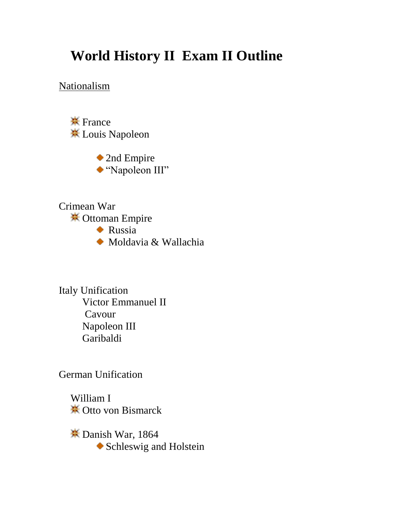## **World History II Exam II Outline**

Nationalism

**\*** France Louis Napoleon

> ◆ 2nd Empire "Napoleon III"

Crimean War **<del></del>** Ottoman Empire

**Russia** 

Moldavia & Wallachia

Italy Unification Victor Emmanuel II Cavour Napoleon III Garibaldi

German Unification

William I **\*\*** Otto von Bismarck

**Example 1864** Schleswig and Holstein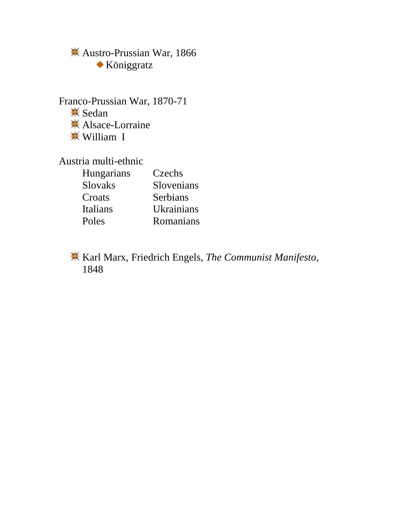Austro-Prussian War, 1866 Königgratz

Franco-Prussian War, 1870-71 **<del></del>** Sedan **<del></del>**★ Alsace-Lorraine William I

Austria multi-ethnic

| Hungarians     | Czechs     |
|----------------|------------|
| <b>Slovaks</b> | Slovenians |
| Croats         | Serbians   |
| Italians       | Ukrainians |
| Poles          | Romanians  |

Karl Marx, Friedrich Engels, *The Communist Manifesto*, 1848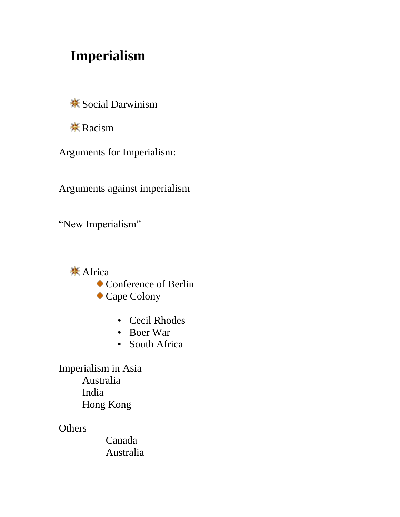## **Imperialism**

Social Darwinism

**\*** Racism

Arguments for Imperialism:

Arguments against imperialism

"New Imperialism"

**<del></del>** Africa

Conference of Berlin

- Cape Colony
	- Cecil Rhodes
	- Boer War
	- South Africa

Imperialism in Asia Australia India Hong Kong

**Others** 

Canada Australia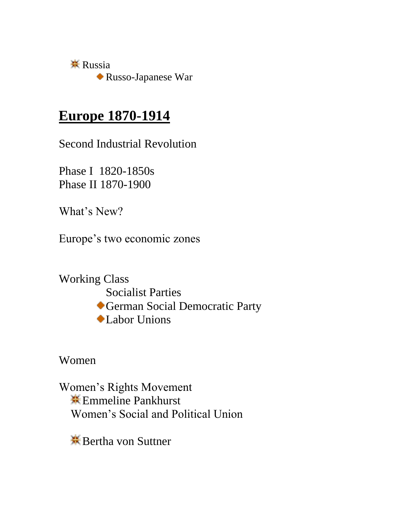$\frac{1}{25}$  Russia Russo-Japanese War

#### **Europe 1870-1914**

Second Industrial Revolution

Phase I 1820-1850s Phase II 1870-1900

What's New?

Europe's two economic zones

Working Class Socialist Parties German Social Democratic Party Labor Unions

Women

Women's Rights Movement **K** Emmeline Pankhurst Women's Social and Political Union

Bertha von Suttner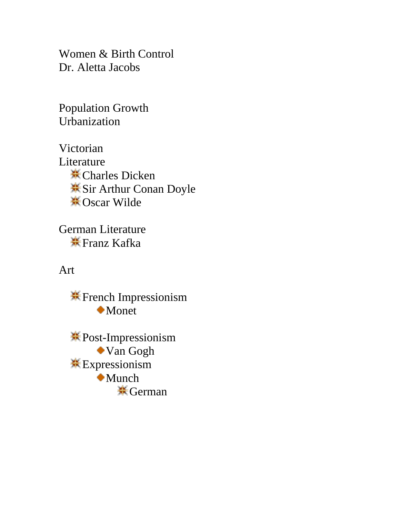Women & Birth Control Dr. Aletta Jacobs

Population Growth Urbanization

Victorian Literature **<del></del>** Charles Dicken  $\frac{1}{2}$ **Sir Arthur Conan Doyle <del></del> ⊙**Scar Wilde

German Literature **<del></del>** Franz Kafka

Art

French Impressionism Monet

Post-Impressionism Van Gogh **Expressionism** Munch **\*** German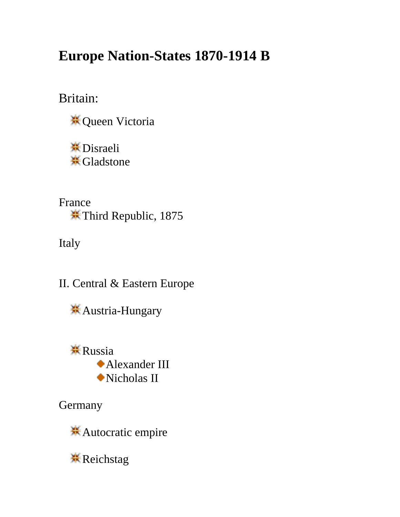# **Europe Nation-States 1870-1914 B**

Britain:

**<del></del>**€ Queen Victoria

**<del></del>**\* Disraeli **<del></del>** Gladstone

France Third Republic, 1875

Italy

II. Central & Eastern Europe

Austria-Hungary

**K** Russia Alexander III Nicholas II

**Germany** 

Autocratic empire

**K** Reichstag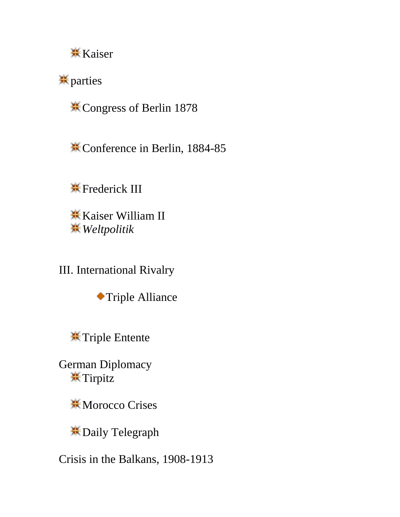

**\*\*** parties

Congress of Berlin 1878

Conference in Berlin, 1884-85

**\*** Frederick III

**K** Kaiser William II *Weltpolitik*

III. International Rivalry

Triple Alliance

Triple Entente

German Diplomacy **\***Tirpitz

**\*Morocco Crises** 

Daily Telegraph

Crisis in the Balkans, 1908-1913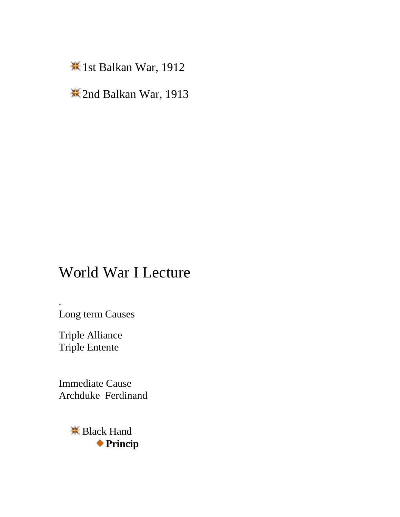1st Balkan War, 1912

2nd Balkan War, 1913

# World War I Lecture

Long term Causes

Triple Alliance Triple Entente

-

Immediate Cause Archduke Ferdinand

> **<del></del>** Black Hand **Princip**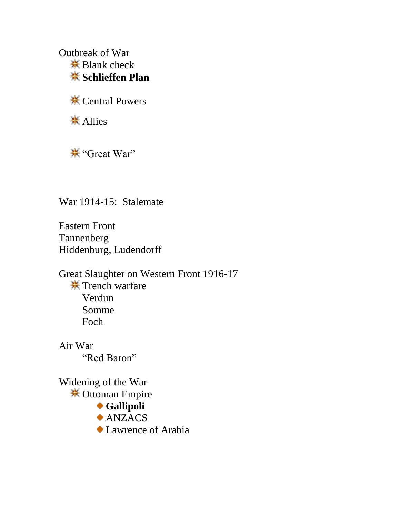Outbreak of War  $\frac{1}{2}$  Blank check **Schlieffen Plan**

**米 Central Powers** 

**<del></del>** Allies

"Great War"

War 1914-15: Stalemate

Eastern Front Tannenberg Hiddenburg, Ludendorff

Great Slaughter on Western Front 1916-17 **\*\*** Trench warfare Verdun Somme Foch

Air War "Red Baron"

Widening of the War Ottoman Empire

- **Gallipoli**
- ANZACS
- Lawrence of Arabia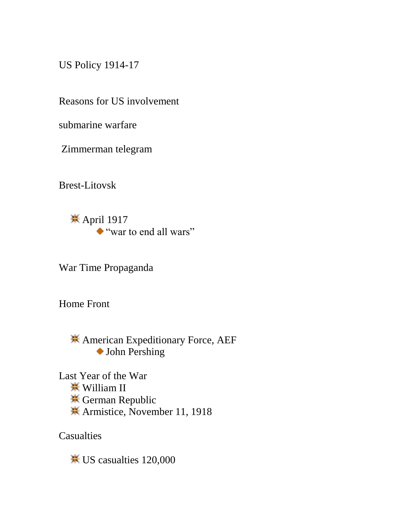US Policy 1914-17

Reasons for US involvement

submarine warfare

Zimmerman telegram

Brest-Litovsk

<del></del><del>★</del> April 1917 "war to end all wars"

War Time Propaganda

Home Front

American Expeditionary Force, AEF John Pershing

Last Year of the War **<del>☀</del>** William II **<del></del>** German Republic Armistice, November 11, 1918

**Casualties** 

US casualties 120,000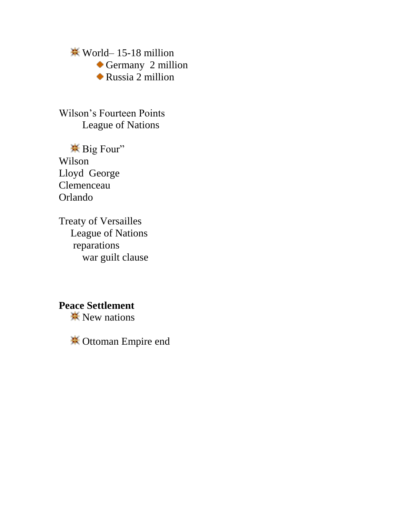World– 15-18 million Germany 2 million Russia 2 million

Wilson's Fourteen Points League of Nations

Big Four" Wilson Lloyd George Clemenceau Orlando

Treaty of Versailles League of Nations reparations war guilt clause

#### **Peace Settlement**

 $\frac{1}{2}$  New nations

Ottoman Empire end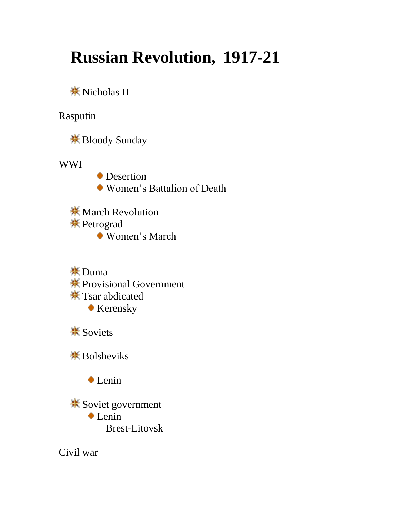# **Russian Revolution, 1917-21**

**<del></del>** Nicholas II

Rasputin

Bloody Sunday

WWI

**◆** Desertion Women's Battalion of Death

**W** March Revolution **<del></del>** Petrograd Women's March

**<del></del>** $\overline{\text{L}}$  Duma Provisional Government  $\frac{1}{2}$  Tsar abdicated Kerensky

 $\frac{1}{2}$  **Soviets** 

**※ Bolsheviks** 

Lenin

 $\frac{1}{2}$  **Soviet government** Lenin Brest-Litovsk

Civil war